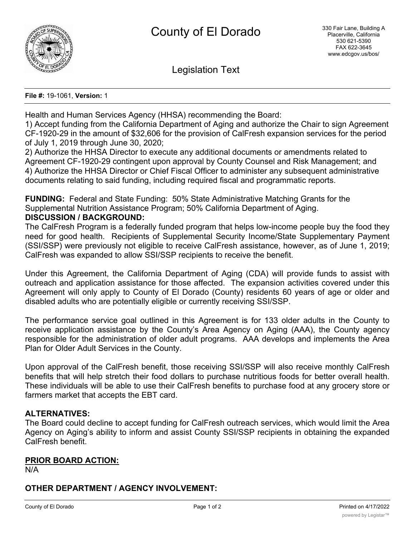

Legislation Text

**File #:** 19-1061, **Version:** 1

Health and Human Services Agency (HHSA) recommending the Board:

1) Accept funding from the California Department of Aging and authorize the Chair to sign Agreement CF-1920-29 in the amount of \$32,606 for the provision of CalFresh expansion services for the period of July 1, 2019 through June 30, 2020;

2) Authorize the HHSA Director to execute any additional documents or amendments related to Agreement CF-1920-29 contingent upon approval by County Counsel and Risk Management; and 4) Authorize the HHSA Director or Chief Fiscal Officer to administer any subsequent administrative documents relating to said funding, including required fiscal and programmatic reports.

**FUNDING:** Federal and State Funding: 50% State Administrative Matching Grants for the Supplemental Nutrition Assistance Program; 50% California Department of Aging. **DISCUSSION / BACKGROUND:**

The CalFresh Program is a federally funded program that helps low-income people buy the food they need for good health. Recipients of Supplemental Security Income/State Supplementary Payment (SSI/SSP) were previously not eligible to receive CalFresh assistance, however, as of June 1, 2019; CalFresh was expanded to allow SSI/SSP recipients to receive the benefit.

Under this Agreement, the California Department of Aging (CDA) will provide funds to assist with outreach and application assistance for those affected. The expansion activities covered under this Agreement will only apply to County of El Dorado (County) residents 60 years of age or older and disabled adults who are potentially eligible or currently receiving SSI/SSP.

The performance service goal outlined in this Agreement is for 133 older adults in the County to receive application assistance by the County's Area Agency on Aging (AAA), the County agency responsible for the administration of older adult programs. AAA develops and implements the Area Plan for Older Adult Services in the County.

Upon approval of the CalFresh benefit, those receiving SSI/SSP will also receive monthly CalFresh benefits that will help stretch their food dollars to purchase nutritious foods for better overall health. These individuals will be able to use their CalFresh benefits to purchase food at any grocery store or farmers market that accepts the EBT card.

## **ALTERNATIVES:**

The Board could decline to accept funding for CalFresh outreach services, which would limit the Area Agency on Aging's ability to inform and assist County SSI/SSP recipients in obtaining the expanded CalFresh benefit.

## **PRIOR BOARD ACTION:**

N/A

# **OTHER DEPARTMENT / AGENCY INVOLVEMENT:**